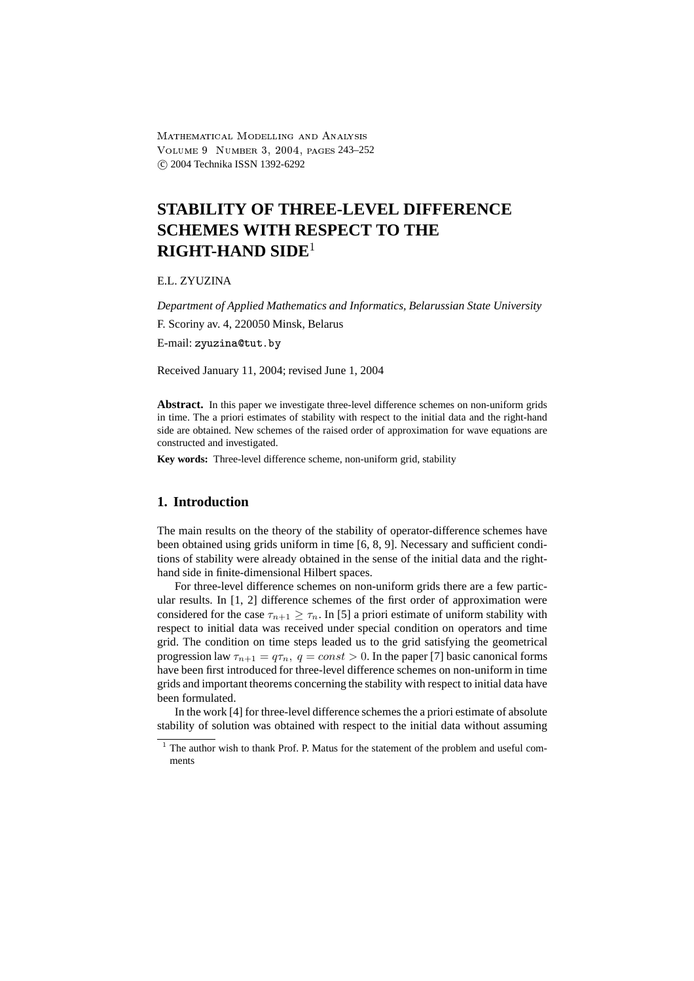-  
 VOLUME 9 NUMBER 3, 2004, PAGES 243-252 c 2004 Technika ISSN 1392-6292

# **STABILITY OF THREE-LEVEL DIFFERENCE SCHEMES WITH RESPECT TO THE RIGHT-HAND SIDE**<sup>1</sup>

E.L. ZYUZINA

*Department of Applied Mathematics and Informatics, Belarussian State University*

F. Scoriny av. 4, 220050 Minsk, Belarus

E-mail: zyuzina@tut.by

Received January 11, 2004; revised June 1, 2004

**Abstract.** In this paper we investigate three-level difference schemes on non-uniform grids in time. The a priori estimates of stability with respect to the initial data and the right-hand side are obtained. New schemes of the raised order of approximation for wave equations are constructed and investigated.

**Key words:** Three-level difference scheme, non-uniform grid, stability

# **1. Introduction**

The main results on the theory of the stability of operator-difference schemes have been obtained using grids uniform in time [6, 8, 9]. Necessary and sufficient conditions of stability were already obtained in the sense of the initial data and the righthand side in finite-dimensional Hilbert spaces.

For three-level difference schemes on non-uniform grids there are a few particular results. In [1, 2] difference schemes of the first order of approximation were considered for the case  $\tau_{n+1} \geq \tau_n$ . In [5] a priori estimate of uniform stability with respect to initial data was received under special condition on operators and time grid. The condition on time steps leaded us to the grid satisfying the geometrical progression law  $\tau_{n+1} = q\tau_n$ ,  $q = const > 0$ . In the paper [7] basic canonical forms have been first introduced for three-level difference schemes on non-uniform in time grids and important theorems concerning the stability with respect to initial data have been formulated.

In the work [4] for three-level difference schemes the a priori estimate of absolute stability of solution was obtained with respect to the initial data without assuming

<sup>&</sup>lt;sup>1</sup> The author wish to thank Prof. P. Matus for the statement of the problem and useful comments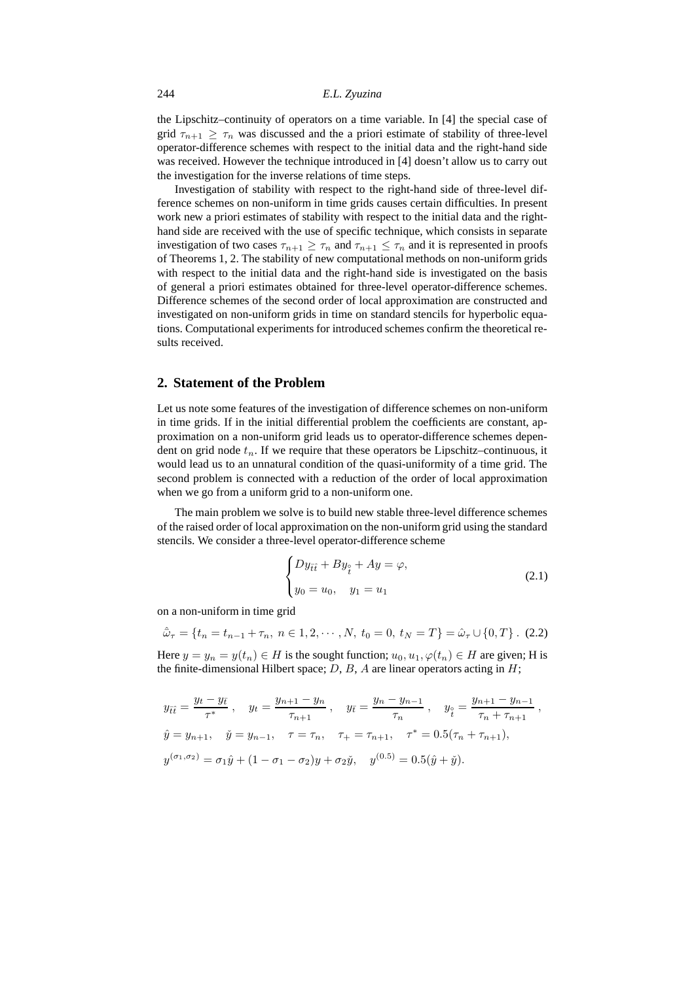the Lipschitz–continuity of operators on a time variable. In [4] the special case of grid  $\tau_{n+1} \geq \tau_n$  was discussed and the a priori estimate of stability of three-level operator-difference schemes with respect to the initial data and the right-hand side was received. However the technique introduced in [4] doesn't allow us to carry out the investigation for the inverse relations of time steps.

Investigation of stability with respect to the right-hand side of three-level difference schemes on non-uniform in time grids causes certain difficulties. In present work new a priori estimates of stability with respect to the initial data and the righthand side are received with the use of specific technique, which consists in separate investigation of two cases  $\tau_{n+1} \geq \tau_n$  and  $\tau_{n+1} \leq \tau_n$  and it is represented in proofs of Theorems 1, 2. The stability of new computational methods on non-uniform grids with respect to the initial data and the right-hand side is investigated on the basis of general a priori estimates obtained for three-level operator-difference schemes. Difference schemes of the second order of local approximation are constructed and investigated on non-uniform grids in time on standard stencils for hyperbolic equations. Computational experiments for introduced schemes confirm the theoretical results received.

#### **2. Statement of the Problem**

Let us note some features of the investigation of difference schemes on non-uniform in time grids. If in the initial differential problem the coefficients are constant, approximation on a non-uniform grid leads us to operator-difference schemes dependent on grid node  $t_n$ . If we require that these operators be Lipschitz–continuous, it would lead us to an unnatural condition of the quasi-uniformity of a time grid. The second problem is connected with a reduction of the order of local approximation when we go from a uniform grid to a non-uniform one.

The main problem we solve is to build new stable three-level difference schemes of the raised order of local approximation on the non-uniform grid using the standard stencils. We consider a three-level operator-difference scheme

$$
\begin{cases}\nDy_{\bar{t}\bar{t}} + By_{\hat{t}} + Ay = \varphi, \\
y_0 = u_0, \quad y_1 = u_1\n\end{cases}
$$
\n(2.1)

on a non-uniform in time grid

$$
\hat{\omega}_{\tau} = \{ t_n = t_{n-1} + \tau_n, \ n \in 1, 2, \cdots, N, \ t_0 = 0, \ t_N = T \} = \hat{\omega}_{\tau} \cup \{ 0, T \} . \tag{2.2}
$$

Here  $y = y_n = y(t_n) \in H$  is the sought function;  $u_0, u_1, \varphi(t_n) \in H$  are given; H is the finite-dimensional Hilbert space;  $D$ ,  $B$ ,  $A$  are linear operators acting in  $H$ ;

$$
y_{\bar{t}\bar{t}} = \frac{y_t - y_{\bar{t}}}{\tau^*}, \quad y_t = \frac{y_{n+1} - y_n}{\tau_{n+1}}, \quad y_{\bar{t}} = \frac{y_n - y_{n-1}}{\tau_n}, \quad y_{\frac{\circ}{t}} = \frac{y_{n+1} - y_{n-1}}{\tau_n + \tau_{n+1}},
$$
  

$$
\hat{y} = y_{n+1}, \quad \check{y} = y_{n-1}, \quad \tau = \tau_n, \quad \tau_+ = \tau_{n+1}, \quad \tau^* = 0.5(\tau_n + \tau_{n+1}),
$$
  

$$
y^{(\sigma_1, \sigma_2)} = \sigma_1 \hat{y} + (1 - \sigma_1 - \sigma_2)y + \sigma_2 \check{y}, \quad y^{(0.5)} = 0.5(\hat{y} + \check{y}).
$$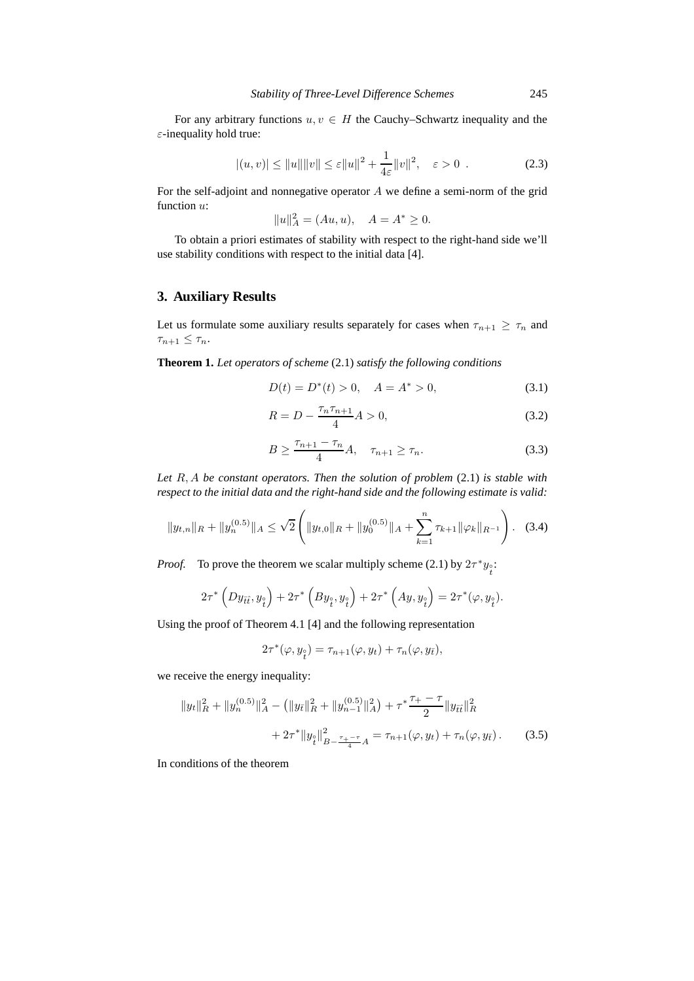For any arbitrary functions  $u, v \in H$  the Cauchy–Schwartz inequality and the  $\varepsilon$ -inequality hold true:

$$
|(u, v)| \le ||u|| ||v|| \le \varepsilon ||u||^2 + \frac{1}{4\varepsilon} ||v||^2, \quad \varepsilon > 0
$$
 (2.3)

For the self-adjoint and nonnegative operator  $A$  we define a semi-norm of the grid function  $u$ :

$$
||u||_A^2 = (Au, u), \quad A = A^* \ge 0.
$$

To obtain a priori estimates of stability with respect to the right-hand side we'll use stability conditions with respect to the initial data [4].

## **3. Auxiliary Results**

Let us formulate some auxiliary results separately for cases when  $\tau_{n+1} \geq \tau_n$  and  $\tau_{n+1} \leq \tau_n$ .

**Theorem 1.** *Let operators of scheme* (2.1) *satisfy the following conditions*

$$
D(t) = D^*(t) > 0, \quad A = A^* > 0,
$$
\n(3.1)

$$
R = D - \frac{\tau_n \tau_{n+1}}{4} A > 0,
$$
\n(3.2)

$$
B \ge \frac{\tau_{n+1} - \tau_n}{4} A, \quad \tau_{n+1} \ge \tau_n.
$$
 (3.3)

*Let* R, A *be constant operators. Then the solution of problem* (2.1) *is stable with respect to the initial data and the right-hand side and the following estimate is valid:*

$$
||y_{t,n}||_{R} + ||y_{n}^{(0.5)}||_{A} \leq \sqrt{2} \left( ||y_{t,0}||_{R} + ||y_{0}^{(0.5)}||_{A} + \sum_{k=1}^{n} \tau_{k+1} ||\varphi_{k}||_{R^{-1}} \right). \tag{3.4}
$$

*Proof.* To prove the theorem we scalar multiply scheme (2.1) by  $2\tau^* y_i$ :

$$
2\tau^* \left(Dy_{\bar{t}\hat{t}}, y_{\stackrel{\circ}{t}}\right) + 2\tau^* \left(By_{\stackrel{\circ}{t}}, y_{\stackrel{\circ}{t}}\right) + 2\tau^* \left(Ay, y_{\stackrel{\circ}{t}}\right) = 2\tau^*(\varphi, y_{\stackrel{\circ}{t}}).
$$

Using the proof of Theorem 4.1 [4] and the following representation

$$
2\tau^*(\varphi, y_{\hat{t}}) = \tau_{n+1}(\varphi, y_t) + \tau_n(\varphi, y_{\bar{t}}),
$$

we receive the energy inequality:

$$
||y_t||_R^2 + ||y_n^{(0.5)}||_A^2 - (||y_{\bar{t}}||_R^2 + ||y_{n-1}^{(0.5)}||_A^2) + \tau^* \frac{\tau_+ - \tau}{2} ||y_{\bar{t}\bar{t}}||_R^2
$$
  
+ 
$$
2\tau^* ||y_{\bar{t}}||_{B - \frac{\tau_+ - \tau}{4}A}^2 = \tau_{n+1}(\varphi, y_t) + \tau_n(\varphi, y_{\bar{t}}).
$$
 (3.5)

In conditions of the theorem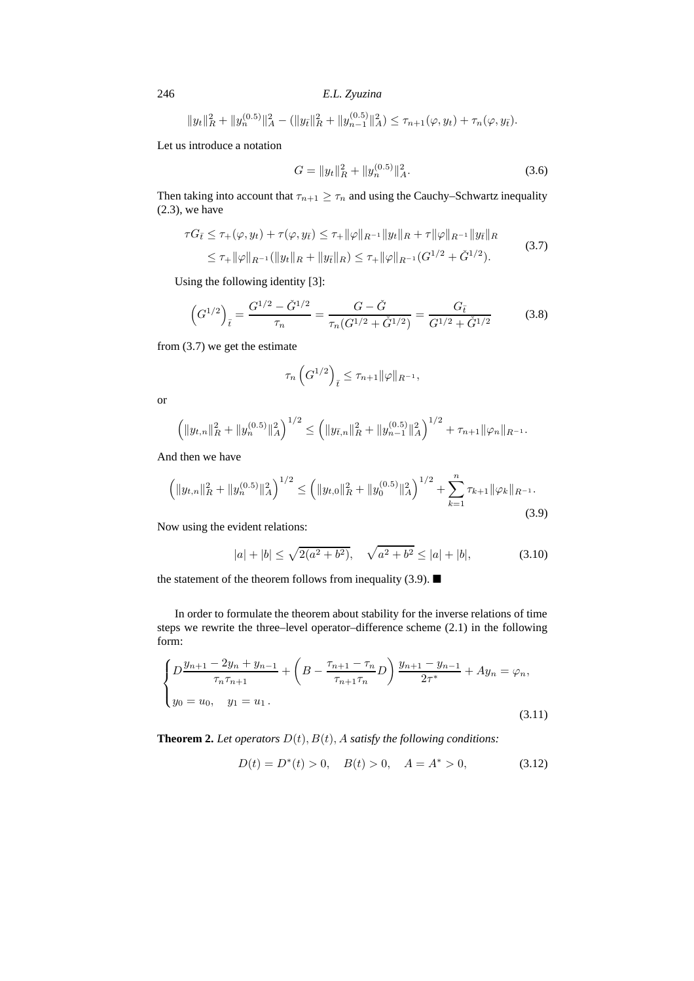246 *E.L. Zyuzina*

 $||y_t||_R^2 + ||y_n^{(0.5)}||_A^2 - (||y_{\bar{t}}||_R^2 + ||y_{n-1}^{(0.5)}||_A^2) \le \tau_{n+1}(\varphi, y_t) + \tau_n(\varphi, y_{\bar{t}}).$ 

Let us introduce a notation

$$
G = \|y_t\|_R^2 + \|y_n^{(0.5)}\|_A^2.
$$
\n(3.6)

Then taking into account that  $\tau_{n+1} \geq \tau_n$  and using the Cauchy–Schwartz inequality  $(2.3)$ , we have

$$
\tau G_{\bar{t}} \leq \tau_{+}(\varphi, y_{t}) + \tau(\varphi, y_{\bar{t}}) \leq \tau_{+} ||\varphi||_{R^{-1}} ||y_{t}||_{R} + \tau ||\varphi||_{R^{-1}} ||y_{\bar{t}}||_{R}
$$
  
\n
$$
\leq \tau_{+} ||\varphi||_{R^{-1}} (||y_{t}||_{R} + ||y_{\bar{t}}||_{R}) \leq \tau_{+} ||\varphi||_{R^{-1}} (G^{1/2} + \check{G}^{1/2}).
$$
\n(3.7)

Using the following identity [3]:

$$
\left(G^{1/2}\right)_{\bar{t}} = \frac{G^{1/2} - \check{G}^{1/2}}{\tau_n} = \frac{G - \check{G}}{\tau_n (G^{1/2} + \check{G}^{1/2})} = \frac{G_{\bar{t}}}{G^{1/2} + \check{G}^{1/2}}\tag{3.8}
$$

from (3.7) we get the estimate

$$
\tau_n\left(G^{1/2}\right)_{\bar{t}} \leq \tau_{n+1} ||\varphi||_{R^{-1}},
$$

or

$$
\left( \|y_{t,n}\|_{R}^2 + \|y_n^{(0.5)}\|_{A}^2 \right)^{1/2} \le \left( \|y_{\bar{t},n}\|_{R}^2 + \|y_{n-1}^{(0.5)}\|_{A}^2 \right)^{1/2} + \tau_{n+1} \|\varphi_n\|_{R^{-1}}.
$$

And then we have

$$
\left( \|y_{t,n}\|_{R}^{2} + \|y_{n}^{(0.5)}\|_{A}^{2} \right)^{1/2} \leq \left( \|y_{t,0}\|_{R}^{2} + \|y_{0}^{(0.5)}\|_{A}^{2} \right)^{1/2} + \sum_{k=1}^{n} \tau_{k+1} \|\varphi_{k}\|_{R^{-1}}.
$$
\n(3.9)

Now using the evident relations:

$$
|a| + |b| \le \sqrt{2(a^2 + b^2)}, \quad \sqrt{a^2 + b^2} \le |a| + |b|,\tag{3.10}
$$

the statement of the theorem follows from inequality (3.9).  $\blacksquare$ 

In order to formulate the theorem about stability for the inverse relations of time steps we rewrite the three–level operator–difference scheme (2.1) in the following form:

$$
\begin{cases}\nD\frac{y_{n+1} - 2y_n + y_{n-1}}{\tau_n \tau_{n+1}} + \left(B - \frac{\tau_{n+1} - \tau_n}{\tau_{n+1} \tau_n} D\right) \frac{y_{n+1} - y_{n-1}}{2\tau^*} + Ay_n = \varphi_n, \\
y_0 = u_0, \quad y_1 = u_1.\n\end{cases} \tag{3.11}
$$

**Theorem 2.** *Let operators*  $D(t)$ ,  $B(t)$ ,  $A$  *satisfy the following conditions:* 

$$
D(t) = D^*(t) > 0, \quad B(t) > 0, \quad A = A^* > 0,\tag{3.12}
$$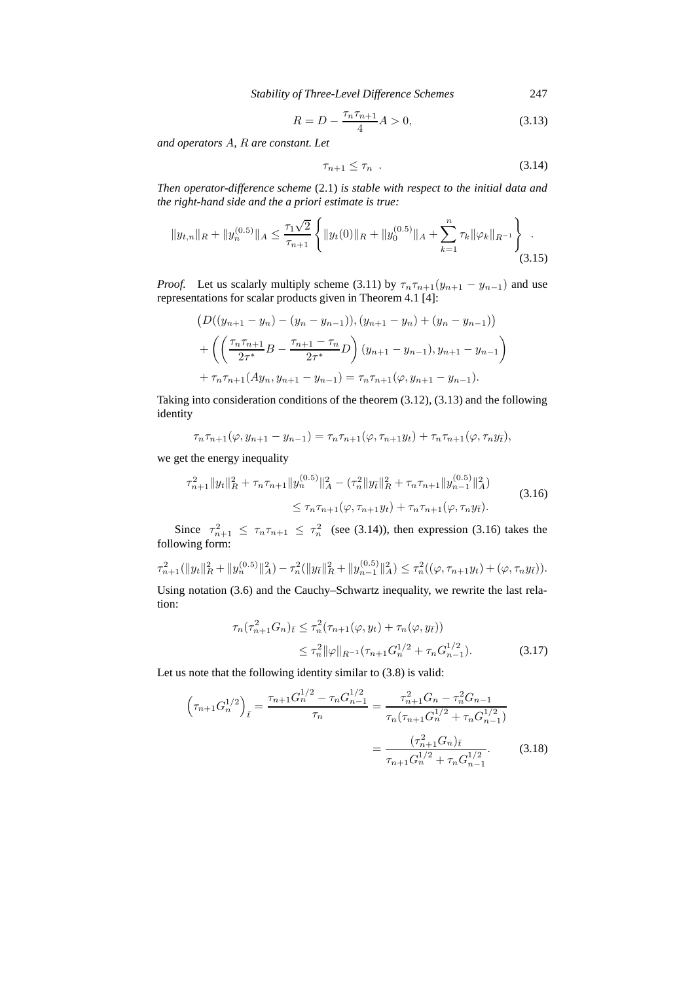*Stability of Three-Level Difference Schemes* 247

$$
R = D - \frac{\tau_n \tau_{n+1}}{4} A > 0,
$$
\n(3.13)

*and operators* A*,* R *are constant. Let*

$$
\tau_{n+1} \le \tau_n \tag{3.14}
$$

*Then operator-difference scheme* (2.1) *is stable with respect to the initial data and the right-hand side and the a priori estimate is true:*

$$
||y_{t,n}||_{R} + ||y_{n}^{(0.5)}||_{A} \leq \frac{\tau_{1}\sqrt{2}}{\tau_{n+1}} \left\{ ||y_{t}(0)||_{R} + ||y_{0}^{(0.5)}||_{A} + \sum_{k=1}^{n} \tau_{k} ||\varphi_{k}||_{R^{-1}} \right\}.
$$
\n(3.15)

*Proof.* Let us scalarly multiply scheme (3.11) by  $\tau_n \tau_{n+1}(y_{n+1} - y_{n-1})$  and use representations for scalar products given in Theorem 4.1 [4]:

$$
(D((y_{n+1}-y_n)-(y_n-y_{n-1})), (y_{n+1}-y_n)+(y_n-y_{n-1}))
$$
  
+
$$
\left(\left(\frac{\tau_n\tau_{n+1}}{2\tau^*}B - \frac{\tau_{n+1}-\tau_n}{2\tau^*}D\right)(y_{n+1}-y_{n-1}), y_{n+1}-y_{n-1}\right)
$$
  
+
$$
\tau_n\tau_{n+1}(Ay_n, y_{n+1}-y_{n-1}) = \tau_n\tau_{n+1}(\varphi, y_{n+1}-y_{n-1}).
$$

Taking into consideration conditions of the theorem (3.12), (3.13) and the following identity

$$
\tau_n \tau_{n+1}(\varphi, y_{n+1} - y_{n-1}) = \tau_n \tau_{n+1}(\varphi, \tau_{n+1} y_t) + \tau_n \tau_{n+1}(\varphi, \tau_n y_{\bar{t}}),
$$

we get the energy inequality

$$
\tau_{n+1}^2 \|y_t\|_{R}^2 + \tau_n \tau_{n+1} \|y_n^{(0.5)}\|_{A}^2 - (\tau_n^2 \|y_t\|_{R}^2 + \tau_n \tau_{n+1} \|y_{n-1}^{(0.5)}\|_{A}^2)
$$
  
 
$$
\leq \tau_n \tau_{n+1}(\varphi, \tau_{n+1} y_t) + \tau_n \tau_{n+1}(\varphi, \tau_n y_t).
$$
 (3.16)

Since  $\tau_{n+1}^2 \leq \tau_n \tau_{n+1} \leq \tau_n^2$  (see (3.14)), then expression (3.16) takes the following form:

$$
\tau_{n+1}^2(\|y_t\|_{R}^2 + \|y_n^{(0.5)}\|_{A}^2) - \tau_n^2(\|y_{\bar{t}}\|_{R}^2 + \|y_{n-1}^{(0.5)}\|_{A}^2) \leq \tau_n^2((\varphi, \tau_{n+1}y_t) + (\varphi, \tau_ny_{\bar{t}})).
$$

Using notation (3.6) and the Cauchy–Schwartz inequality, we rewrite the last relation:

$$
\tau_n(\tau_{n+1}^2 G_n)_{\bar{t}} \leq \tau_n^2(\tau_{n+1}(\varphi, y_t) + \tau_n(\varphi, y_{\bar{t}}))
$$
  
 
$$
\leq \tau_n^2 \|\varphi\|_{R^{-1}}(\tau_{n+1} G_n^{1/2} + \tau_n G_{n-1}^{1/2}). \tag{3.17}
$$

Let us note that the following identity similar to (3.8) is valid:

$$
\left(\tau_{n+1}G_n^{1/2}\right)_{\bar{t}} = \frac{\tau_{n+1}G_n^{1/2} - \tau_n G_{n-1}^{1/2}}{\tau_n} = \frac{\tau_{n+1}^2 G_n - \tau_n^2 G_{n-1}}{\tau_n(\tau_{n+1}G_n^{1/2} + \tau_n G_{n-1}^{1/2})}
$$

$$
= \frac{(\tau_{n+1}^2 G_n)_{\bar{t}}}{\tau_{n+1}G_n^{1/2} + \tau_n G_{n-1}^{1/2}}.
$$
(3.18)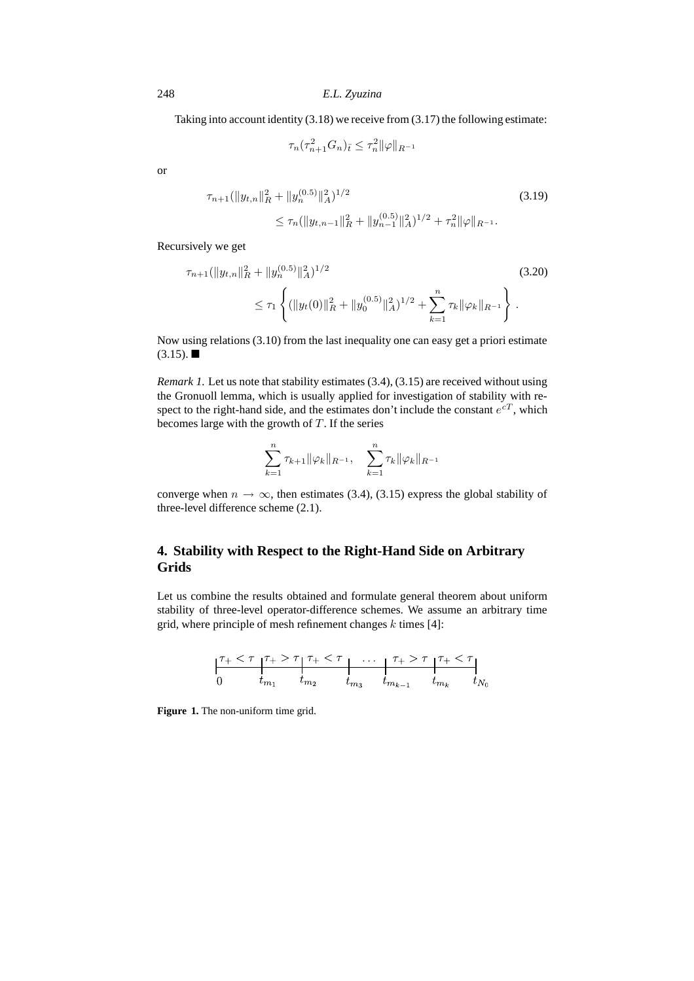248 *E.L. Zyuzina*

Taking into account identity  $(3.18)$  we receive from  $(3.17)$  the following estimate:

$$
\tau_n(\tau_{n+1}^2 G_n)_{\bar{t}} \le \tau_n^2 \|\varphi\|_{R^{-1}}
$$

or

$$
\tau_{n+1}(\|y_{t,n}\|_{R}^{2} + \|y_{n}^{(0.5)}\|_{A}^{2})^{1/2}
$$
\n
$$
\leq \tau_{n}(\|y_{t,n-1}\|_{R}^{2} + \|y_{n-1}^{(0.5)}\|_{A}^{2})^{1/2} + \tau_{n}^{2} \|\varphi\|_{R^{-1}}.
$$
\n(3.19)

Recursively we get

$$
\tau_{n+1}(\|y_{t,n}\|_{R}^{2} + \|y_{n}^{(0.5)}\|_{A}^{2})^{1/2} \leq \tau_{1} \left\{ (\|y_{t}(0)\|_{R}^{2} + \|y_{0}^{(0.5)}\|_{A}^{2})^{1/2} + \sum_{k=1}^{n} \tau_{k} \|\varphi_{k}\|_{R^{-1}} \right\}.
$$
\n(3.20)

Now using relations (3.10) from the last inequality one can easy get a priori estimate  $(3.15)$ .

*Remark 1.* Let us note that stability estimates (3.4), (3.15) are received without using the Gronuoll lemma, which is usually applied for investigation of stability with respect to the right-hand side, and the estimates don't include the constant  $e^{cT}$ , which becomes large with the growth of  $T$ . If the series

$$
\sum_{k=1}^{n} \tau_{k+1} ||\varphi_k||_{R^{-1}}, \quad \sum_{k=1}^{n} \tau_k ||\varphi_k||_{R^{-1}}
$$

converge when  $n \to \infty$ , then estimates (3.4), (3.15) express the global stability of three-level difference scheme (2.1).

# **4. Stability with Respect to the Right-Hand Side on Arbitrary Grids**

Let us combine the results obtained and formulate general theorem about uniform stability of three-level operator-difference schemes. We assume an arbitrary time grid, where principle of mesh refinement changes  $k$  times [4]:

**Figure 1.** The non-uniform time grid.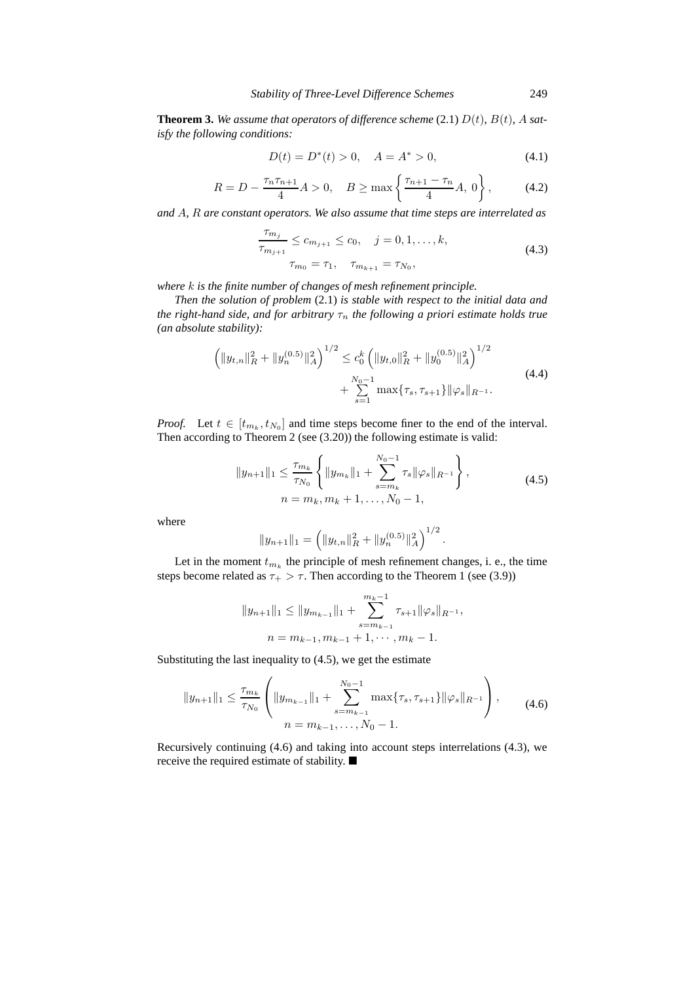**Theorem 3.** We assume that operators of difference scheme (2.1)  $D(t)$ ,  $B(t)$ , A sat*isfy the following conditions:*

$$
D(t) = D^*(t) > 0, \quad A = A^* > 0,
$$
\n(4.1)

$$
R = D - \frac{\tau_n \tau_{n+1}}{4} A > 0, \quad B \ge \max\left\{\frac{\tau_{n+1} - \tau_n}{4} A, 0\right\},\tag{4.2}
$$

*and* A*,* R *are constant operators. We also assume that time steps are interrelated as*

$$
\frac{\tau_{m_j}}{\tau_{m_{j+1}}} \le c_{m_{j+1}} \le c_0, \quad j = 0, 1, \dots, k,
$$
\n
$$
\tau_{m_0} = \tau_1, \quad \tau_{m_{k+1}} = \tau_{N_0},
$$
\n(4.3)

*where* k *is the finite number of changes of mesh refinement principle.*

*Then the solution of problem* (2.1) *is stable with respect to the initial data and the right-hand side, and for arbitrary*  $\tau_n$  *the following a priori estimate holds true (an absolute stability):*

$$
\left( \|y_{t,n}\|_{R}^{2} + \|y_{n}^{(0.5)}\|_{A}^{2} \right)^{1/2} \leq c_{0}^{k} \left( \|y_{t,0}\|_{R}^{2} + \|y_{0}^{(0.5)}\|_{A}^{2} \right)^{1/2} + \sum_{s=1}^{N_{0}-1} \max\{\tau_{s}, \tau_{s+1}\} \|\varphi_{s}\|_{R^{-1}}.
$$
\n(4.4)

*Proof.* Let  $t \in [t_{m_k}, t_{N_0}]$  and time steps become finer to the end of the interval. Then according to Theorem 2 (see (3.20)) the following estimate is valid:

$$
||y_{n+1}||_1 \le \frac{\tau_{m_k}}{\tau_{N_0}} \left\{ ||y_{m_k}||_1 + \sum_{s=m_k}^{N_0-1} \tau_s ||\varphi_s||_{R^{-1}} \right\},
$$
  
\n
$$
n = m_k, m_k + 1, ..., N_0 - 1,
$$
\n(4.5)

where

$$
||y_{n+1}||_1 = \left(||y_{t,n}||_R^2 + ||y_n^{(0.5)}||_A^2\right)^{1/2}.
$$

Let in the moment  $t_{m_k}$  the principle of mesh refinement changes, i. e., the time steps become related as  $\tau_{+} > \tau$ . Then according to the Theorem 1 (see (3.9))

$$
||y_{n+1}||_1 \le ||y_{m_{k-1}}||_1 + \sum_{s=m_{k-1}}^{m_k-1} \tau_{s+1} ||\varphi_s||_{R^{-1}},
$$
  

$$
n = m_{k-1}, m_{k-1} + 1, \cdots, m_k - 1.
$$

Substituting the last inequality to (4.5), we get the estimate

$$
||y_{n+1}||_1 \le \frac{\tau_{m_k}}{\tau_{N_0}} \left( ||y_{m_{k-1}}||_1 + \sum_{s=m_{k-1}}^{N_0-1} \max{\{\tau_s, \tau_{s+1}\}} ||\varphi_s||_{R^{-1}} \right),
$$
\n
$$
n = m_{k-1}, \dots, N_0 - 1.
$$
\n(4.6)

Recursively continuing (4.6) and taking into account steps interrelations (4.3), we receive the required estimate of stability.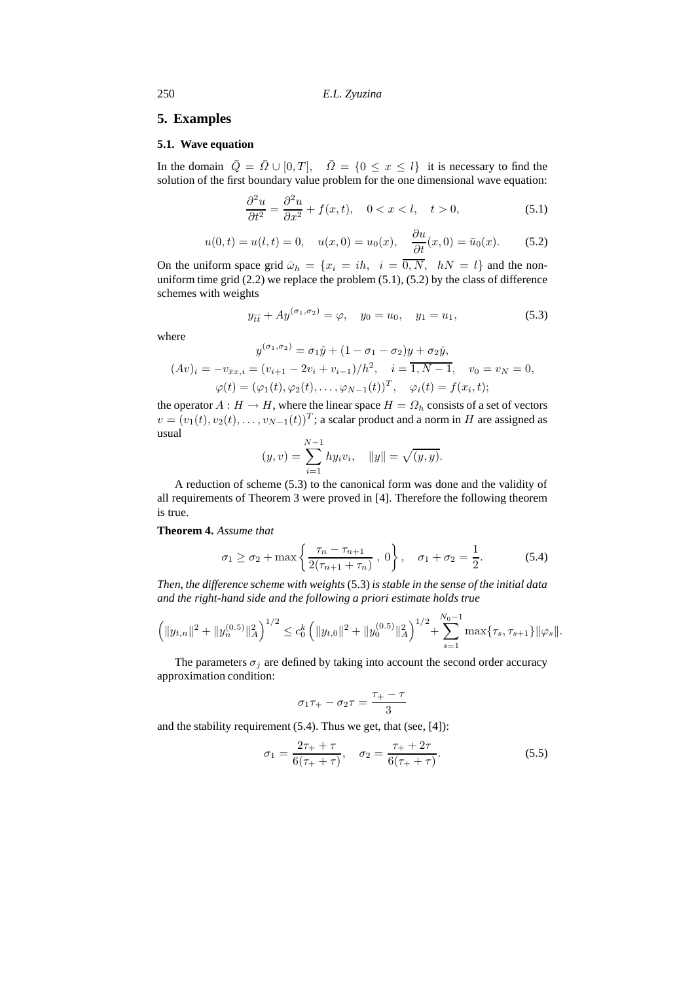250 *E.L. Zyuzina*

### **5. Examples**

#### **5.1. Wave equation**

In the domain  $\overline{Q} = \overline{Q} \cup [0, T], \overline{Q} = \{0 \le x \le l\}$  it is necessary to find the solution of the first boundary value problem for the one dimensional wave equation:

$$
\frac{\partial^2 u}{\partial t^2} = \frac{\partial^2 u}{\partial x^2} + f(x, t), \quad 0 < x < l, \quad t > 0,\tag{5.1}
$$

$$
u(0, t) = u(l, t) = 0
$$
,  $u(x, 0) = u_0(x)$ ,  $\frac{\partial u}{\partial t}(x, 0) = \bar{u}_0(x)$ . (5.2)

On the uniform space grid  $\bar{\omega}_h = \{x_i = ih, i = \overline{0, N}, hN = l\}$  and the nonuniform time grid  $(2.2)$  we replace the problem  $(5.1)$ ,  $(5.2)$  by the class of difference schemes with weights

$$
y_{\bar{t}\bar{t}} + Ay^{(\sigma_1, \sigma_2)} = \varphi, \quad y_0 = u_0, \quad y_1 = u_1,\tag{5.3}
$$

where

$$
y^{(\sigma_1, \sigma_2)} = \sigma_1 \hat{y} + (1 - \sigma_1 - \sigma_2) y + \sigma_2 \check{y},
$$
  
\n
$$
(Av)_i = -v_{\bar{x}x, i} = (v_{i+1} - 2v_i + v_{i-1})/h^2, \quad i = \overline{1, N-1}, \quad v_0 = v_N = 0,
$$
  
\n
$$
\varphi(t) = (\varphi_1(t), \varphi_2(t), \dots, \varphi_{N-1}(t))^T, \quad \varphi_i(t) = f(x_i, t);
$$

the operator  $A : H \to H$ , where the linear space  $H = \Omega_h$  consists of a set of vectors  $v = (v_1(t), v_2(t), \dots, v_{N-1}(t))^T$ ; a scalar product and a norm in H are assigned as usual

$$
(y, v) = \sum_{i=1}^{N-1} hy_i v_i, \quad ||y|| = \sqrt{(y, y)}.
$$

A reduction of scheme (5.3) to the canonical form was done and the validity of all requirements of Theorem 3 were proved in [4]. Therefore the following theorem is true.

#### **Theorem 4.** *Assume that*

$$
\sigma_1 \ge \sigma_2 + \max\left\{\frac{\tau_n - \tau_{n+1}}{2(\tau_{n+1} + \tau_n)}, 0\right\}, \quad \sigma_1 + \sigma_2 = \frac{1}{2}.
$$
 (5.4)

*Then, the difference scheme with weights* (5.3) *is stable in the sense of the initial data and the right-hand side and the following a priori estimate holds true*

$$
\left(\|y_{t,n}\|^2 + \|y_n^{(0.5)}\|_A^2\right)^{1/2} \leq c_0^k \left(\|y_{t,0}\|^2 + \|y_0^{(0.5)}\|_A^2\right)^{1/2} + \sum_{s=1}^{N_0-1} \max\{\tau_s, \tau_{s+1}\}\|\varphi_s\|.
$$

The parameters  $\sigma_i$  are defined by taking into account the second order accuracy approximation condition:

$$
\sigma_1 \tau_+ - \sigma_2 \tau = \frac{\tau_+ - \tau}{3}
$$

and the stability requirement  $(5.4)$ . Thus we get, that (see, [4]):

$$
\sigma_1 = \frac{2\tau_+ + \tau}{6(\tau_+ + \tau)}, \quad \sigma_2 = \frac{\tau_+ + 2\tau}{6(\tau_+ + \tau)}.
$$
\n(5.5)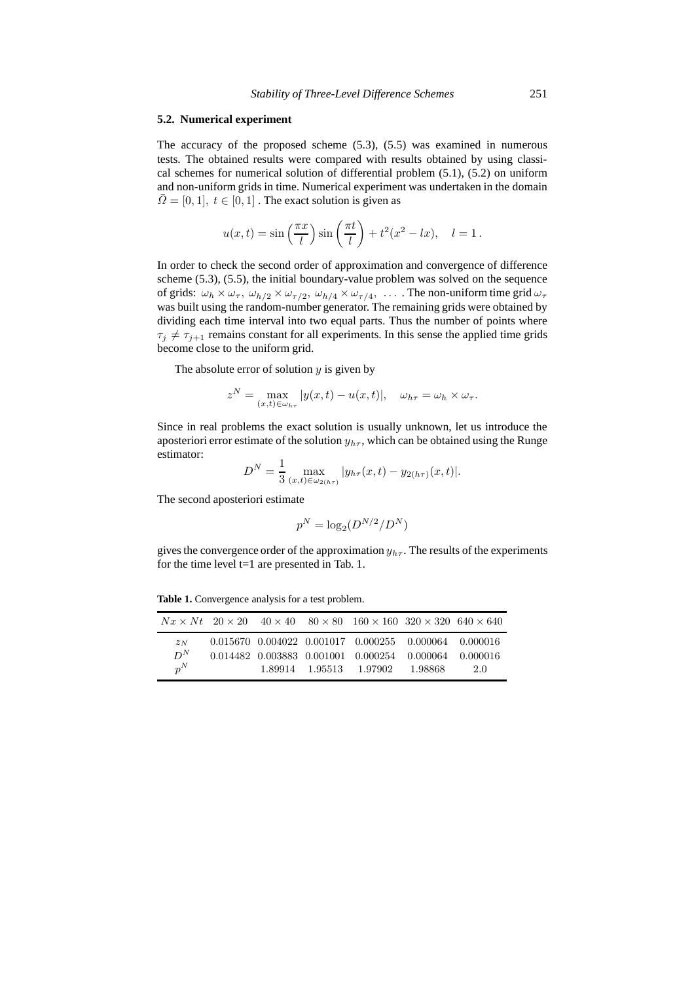#### **5.2. Numerical experiment**

The accuracy of the proposed scheme (5.3), (5.5) was examined in numerous tests. The obtained results were compared with results obtained by using classical schemes for numerical solution of differential problem (5.1), (5.2) on uniform and non-uniform grids in time. Numerical experiment was undertaken in the domain  $\overline{\Omega} = [0, 1], t \in [0, 1]$ . The exact solution is given as

$$
u(x,t) = \sin\left(\frac{\pi x}{l}\right)\sin\left(\frac{\pi t}{l}\right) + t^2(x^2 - lx), \quad l = 1.
$$

In order to check the second order of approximation and convergence of difference scheme (5.3), (5.5), the initial boundary-value problem was solved on the sequence of grids:  $\omega_h \times \omega_\tau$ ,  $\omega_{h/2} \times \omega_{\tau/2}$ ,  $\omega_{h/4} \times \omega_{\tau/4}$ , ... The non-uniform time grid  $\omega_\tau$ was built using the random-number generator. The remaining grids were obtained by dividing each time interval into two equal parts. Thus the number of points where  $\tau_j \neq \tau_{j+1}$  remains constant for all experiments. In this sense the applied time grids become close to the uniform grid.

The absolute error of solution  $y$  is given by

$$
z^N = \max_{(x,t)\in\omega_{h\tau}} |y(x,t) - u(x,t)|, \quad \omega_{h\tau} = \omega_h \times \omega_\tau.
$$

Since in real problems the exact solution is usually unknown, let us introduce the aposteriori error estimate of the solution  $y_{h\tau}$ , which can be obtained using the Runge estimator:

$$
D^{N} = \frac{1}{3} \max_{(x,t) \in \omega_{2(h\tau)}} |y_{h\tau}(x,t) - y_{2(h\tau)}(x,t)|.
$$

The second aposteriori estimate

$$
p^N = \log_2(D^{N/2}/D^N)
$$

gives the convergence order of the approximation  $y_{h\tau}$ . The results of the experiments for the time level t=1 are presented in Tab. 1.

**Table 1.** Convergence analysis for a test problem.

|       |  | $Nx \times Nt$ 20 $\times$ 20 40 $\times$ 40 80 $\times$ 80 160 $\times$ 160 320 $\times$ 320 640 $\times$ 640 |           |     |
|-------|--|----------------------------------------------------------------------------------------------------------------|-----------|-----|
| 2N    |  | $0.015670$ $0.004022$ $0.001017$ $0.000255$ $0.000064$ $0.000016$                                              |           |     |
| $D^N$ |  | 0.014482 0.003883 0.001001 0.000254 0.000064 0.000016                                                          |           |     |
| $p^N$ |  | 1.89914 1.95513 1.97902                                                                                        | - 1.98868 | 2.0 |